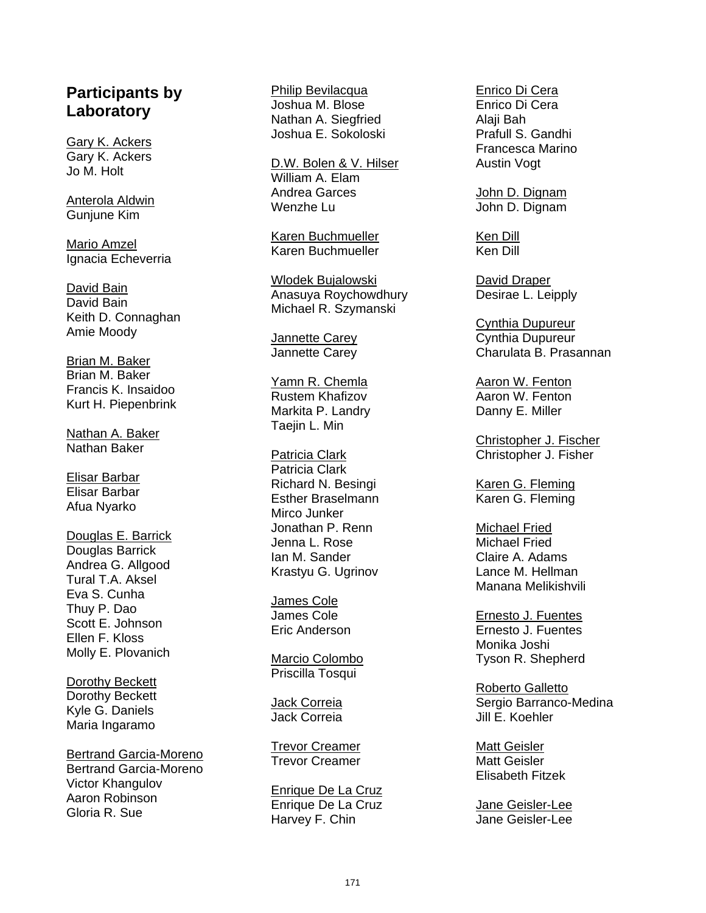## **Participants by Laboratory**

Gary K. Ackers Gary K. Ackers Jo M. Holt

Anterola Aldwin Gunjune Kim

Mario Amzel Ignacia Echeverria

David Bain David Bain Keith D. Connaghan Amie Moody

Brian M. Baker Brian M. Baker Francis K. Insaidoo Kurt H. Piepenbrink

Nathan A. Baker Nathan Baker

Elisar Barbar Elisar Barbar Afua Nyarko

Douglas E. Barrick Douglas Barrick Andrea G. Allgood Tural T.A. Aksel Eva S. Cunha Thuy P. Dao Scott E. Johnson Ellen F. Kloss Molly E. Plovanich

Dorothy Beckett Dorothy Beckett Kyle G. Daniels Maria Ingaramo

Bertrand Garcia-Moreno Bertrand Garcia-Moreno Victor Khangulov Aaron Robinson Gloria R. Sue

Philip Bevilacqua Joshua M. Blose Nathan A. Siegfried Joshua E. Sokoloski

D.W. Bolen & V. Hilser William A. Elam Andrea Garces Wenzhe Lu

Karen Buchmueller Karen Buchmueller

Wlodek Bujalowski Anasuya Roychowdhury Michael R. Szymanski

Jannette Carey Jannette Carey

Yamn R. Chemla Rustem Khafizov Markita P. Landry Taejin L. Min

Patricia Clark Patricia Clark Richard N. Besingi Esther Braselmann Mirco Junker Jonathan P. Renn Jenna L. Rose Ian M. Sander Krastyu G. Ugrinov

James Cole James Cole Eric Anderson

Marcio Colombo Priscilla Tosqui

Jack Correia Jack Correia

Trevor Creamer Trevor Creamer

Enrique De La Cruz Enrique De La Cruz Harvey F. Chin

Enrico Di Cera Enrico Di Cera Alaji Bah Prafull S. Gandhi Francesca Marino Austin Vogt

John D. Dignam John D. Dignam

Ken Dill Ken Dill

David Draper Desirae L. Leipply

Cynthia Dupureur Cynthia Dupureur Charulata B. Prasannan

Aaron W. Fenton Aaron W. Fenton Danny E. Miller

Christopher J. Fischer Christopher J. Fisher

Karen G. Fleming Karen G. Fleming

Michael Fried Michael Fried Claire A. Adams Lance M. Hellman Manana Melikishvili

Ernesto J. Fuentes Ernesto J. Fuentes Monika Joshi Tyson R. Shepherd

Roberto Galletto Sergio Barranco-Medina Jill E. Koehler

Matt Geisler Matt Geisler Elisabeth Fitzek

Jane Geisler-Lee Jane Geisler-Lee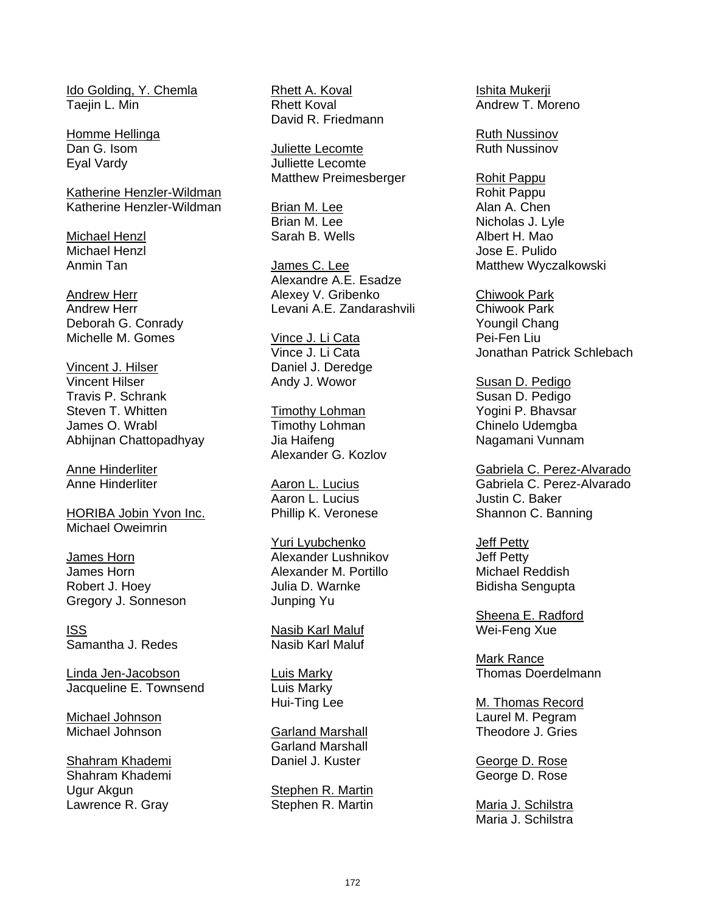Ido Golding, Y. Chemla Taejin L. Min

Homme Hellinga Dan G. Isom Eyal Vardy

Katherine Henzler-Wildman Katherine Henzler-Wildman

Michael Henzl Michael Henzl Anmin Tan

Andrew Herr Andrew Herr Deborah G. Conrady Michelle M. Gomes

Vincent J. Hilser Vincent Hilser Travis P. Schrank Steven T. Whitten James O. Wrabl Abhijnan Chattopadhyay

Anne Hinderliter Anne Hinderliter

HORIBA Jobin Yvon Inc. Michael Oweimrin

James Horn James Horn Robert J. Hoey Gregory J. Sonneson

ISS Samantha J. Redes

Linda Jen-Jacobson Jacqueline E. Townsend

Michael Johnson Michael Johnson

Shahram Khademi Shahram Khademi Ugur Akgun Lawrence R. Gray

Rhett A. Koval Rhett Koval David R. Friedmann

Juliette Lecomte Julliette Lecomte Matthew Preimesberger

Brian M. Lee Brian M. Lee Sarah B. Wells

James C. Lee Alexandre A.E. Esadze Alexey V. Gribenko Levani A.E. Zandarashvili

Vince J. Li Cata Vince J. Li Cata Daniel J. Deredge Andy J. Wowor

**Timothy Lohman** Timothy Lohman Jia Haifeng Alexander G. Kozlov

Aaron L. Lucius Aaron L. Lucius Phillip K. Veronese

Yuri Lyubchenko Alexander Lushnikov Alexander M. Portillo Julia D. Warnke Junping Yu

Nasib Karl Maluf Nasib Karl Maluf

Luis Marky Luis Marky Hui-Ting Lee

Garland Marshall Garland Marshall Daniel J. Kuster

Stephen R. Martin Stephen R. Martin Ishita Mukerji Andrew T. Moreno

Ruth Nussinov Ruth Nussinov

Rohit Pappu Rohit Pappu Alan A. Chen Nicholas J. Lyle Albert H. Mao Jose E. Pulido Matthew Wyczalkowski

Chiwook Park Chiwook Park Youngil Chang Pei-Fen Liu Jonathan Patrick Schlebach

Susan D. Pedigo Susan D. Pedigo Yogini P. Bhavsar Chinelo Udemgba Nagamani Vunnam

Gabriela C. Perez-Alvarado Gabriela C. Perez-Alvarado Justin C. Baker Shannon C. Banning

Jeff Petty Jeff Petty Michael Reddish Bidisha Sengupta

Sheena E. Radford Wei-Feng Xue

Mark Rance Thomas Doerdelmann

M. Thomas Record Laurel M. Pegram Theodore J. Gries

George D. Rose George D. Rose

Maria J. Schilstra Maria J. Schilstra